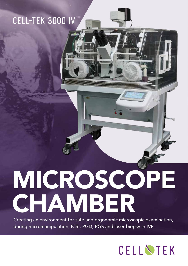### CELL-TEK 3000 IV



Creating an environment for safe and ergonomic microscopic examination, during micromanipulation, ICSI, PGD, PGS and laser biopsy in IVF

## CELLNTEK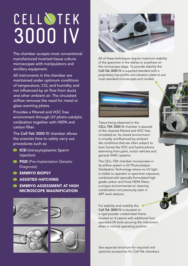# 3000 IV CELL NTEK

The chamber accepts most conventional manufactured inverted tissue culture microscopes with manipulators and ancillary equipment.

All instruments in the chamber are maintained under optimum conditions of temperature,  $CO<sub>2</sub>$  and humidity and not influenced by air flow from ducts and other ambient air. The circulated airflow removes the need for metal or glass warming plates.

Provides a filtered and VOC free environment through UV photo-catalytic oxidization together with HEPA and carbon filter.

The Cell-Tek 3000 IV chamber allows the scientist time to safely carry out procedures such as:

- **ICSI** (Intracytoplasmic Sperm Injection)
- **PGD** (Pre-implantation Genetic Diagnosis)
- **EMBRYO BIOPSY**
- **ASSISTED HATCHING**
- **EMBRYO ASSESSMENT AT HIGH** MICROSCOPE MAGNIFICATION











All of these techniques require maximum stability of the specimen in the dishes or anywhere on the microscope stage. To provide stability the Cell-Tek 3000 IV is supplied standard with a proprietary low profile anti-vibration plate to suit most standard microscopes and models.



Tissue being observed in the CELL-TEK 3000 IV chamber is assured of the cleanest filtered and VOC free, circulated air. Its closed environment is virtually uninfluenced by ambient lab conditions that are often subject to toxic fumes like VOC and hydrocarbons stemming from paint, motor vehicles and general HVAC systems.

<u> IIIIIIIIIIIIIIIIIIIIIIIII</u>

The CELL-TEK chamber incorporates in its airflow system a UV Photocatalytic Oxidisation Technology where no UV light is visible to operator or specimen exposure, combined with specially formulated high grade carbon and finite HEPA filters, a unique environmental air cleaning combination not previously seen in ART work stations.

For stability and mobility the Cell-Tek 3000 IV is situated on a rigid powder coated steel frame located on 4 castors with additional foot operated lift locks securing the instrument when in normal operating position.

*See separate brochure for required and optional accessories for Cell-Tek chambers*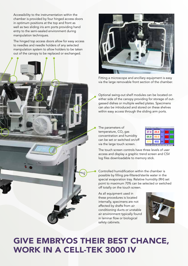Accessibility to the instrumentation within the chamber is provided by four hinged access doors in optimum positions at the top and front as well as two sliding iris arm ports providing hand entry to the semi-sealed environment during manipulation techniques.

The hinged top access doors allow for easy access to needles and needle holders of any selected manipulation system to allow holders to be taken out of the canopy to be replaced or exchanged.





Fitting a microscope and ancillary equipment is easy via the large removable front section of the chamber.

Optional swing-out shelf modules can be located on either side of the canopy providing for storage of outgassed dishes or multiple welled plates. Specimens can also be introduced and stored on these shelves within easy access through the sliding arm ports.

The parameters of temperature,  $CO<sub>2</sub>$  gas concentration and humidity can be set or switched on/off via the large touch screen.



The touch screen controls have three levels of user access and display a graphic trend screen and CSV log files downloadable to memory stick.

Controlled humidification within the chamber is possible by filling pre-filtered/sterile water in the special evaporation tray. Relative humidity (RH) set point to maximum 70% can be selected or switched off totally on the touch screen.

As all equipment used in these procedures is located internally, specimens are not affected by drafts from air conditioning ducts or unstable air environment typically found in laminar flow or biological safety cabinets.



### GIVE EMBRYOS THEIR BEST CHANCE, WORK IN A CELL-TEK 3000 IV